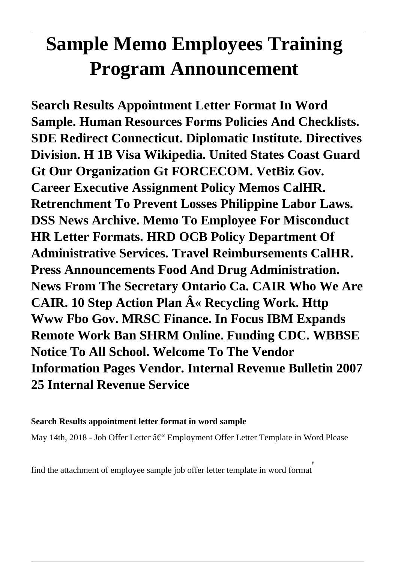# **Sample Memo Employees Training Program Announcement**

**Search Results Appointment Letter Format In Word Sample. Human Resources Forms Policies And Checklists. SDE Redirect Connecticut. Diplomatic Institute. Directives Division. H 1B Visa Wikipedia. United States Coast Guard Gt Our Organization Gt FORCECOM. VetBiz Gov. Career Executive Assignment Policy Memos CalHR. Retrenchment To Prevent Losses Philippine Labor Laws. DSS News Archive. Memo To Employee For Misconduct HR Letter Formats. HRD OCB Policy Department Of Administrative Services. Travel Reimbursements CalHR. Press Announcements Food And Drug Administration. News From The Secretary Ontario Ca. CAIR Who We Are CAIR. 10 Step Action Plan « Recycling Work. Http Www Fbo Gov. MRSC Finance. In Focus IBM Expands Remote Work Ban SHRM Online. Funding CDC. WBBSE Notice To All School. Welcome To The Vendor Information Pages Vendor. Internal Revenue Bulletin 2007 25 Internal Revenue Service**

#### **Search Results appointment letter format in word sample**

May 14th, 2018 - Job Offer Letter – Employment Offer Letter Template in Word Please

find the attachment of employee sample job offer letter template in word format'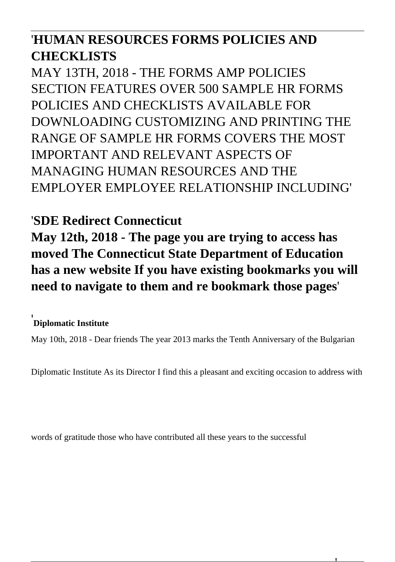## '**HUMAN RESOURCES FORMS POLICIES AND CHECKLISTS**

MAY 13TH, 2018 - THE FORMS AMP POLICIES SECTION FEATURES OVER 500 SAMPLE HR FORMS POLICIES AND CHECKLISTS AVAILABLE FOR DOWNLOADING CUSTOMIZING AND PRINTING THE RANGE OF SAMPLE HR FORMS COVERS THE MOST IMPORTANT AND RELEVANT ASPECTS OF MANAGING HUMAN RESOURCES AND THE EMPLOYER EMPLOYEE RELATIONSHIP INCLUDING'

#### '**SDE Redirect Connecticut**

**May 12th, 2018 - The page you are trying to access has moved The Connecticut State Department of Education has a new website If you have existing bookmarks you will need to navigate to them and re bookmark those pages**'

#### '**Diplomatic Institute**

May 10th, 2018 - Dear friends The year 2013 marks the Tenth Anniversary of the Bulgarian

Diplomatic Institute As its Director I find this a pleasant and exciting occasion to address with

words of gratitude those who have contributed all these years to the successful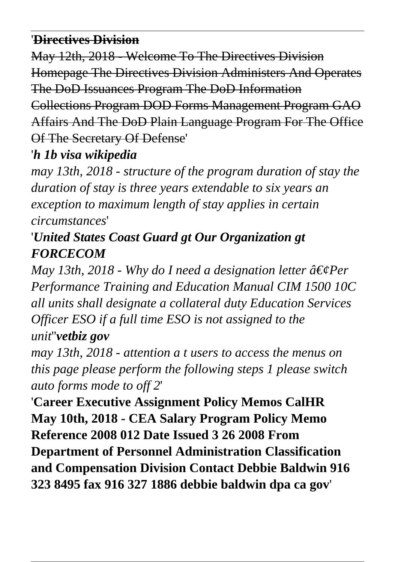#### '**Directives Division**

May 12th, 2018 - Welcome To The Directives Division Homepage The Directives Division Administers And Operates The DoD Issuances Program The DoD Information Collections Program DOD Forms Management Program GAO Affairs And The DoD Plain Language Program For The Office Of The Secretary Of Defense'

'*h 1b visa wikipedia*

*may 13th, 2018 - structure of the program duration of stay the duration of stay is three years extendable to six years an exception to maximum length of stay applies in certain circumstances*'

# '*United States Coast Guard gt Our Organization gt FORCECOM*

*May 13th, 2018 - Why do I need a designation letter*  $\hat{a} \in \mathcal{E}$ *Per Performance Training and Education Manual CIM 1500 10C all units shall designate a collateral duty Education Services Officer ESO if a full time ESO is not assigned to the unit*''*vetbiz gov*

*may 13th, 2018 - attention a t users to access the menus on this page please perform the following steps 1 please switch auto forms mode to off 2*'

'**Career Executive Assignment Policy Memos CalHR May 10th, 2018 - CEA Salary Program Policy Memo Reference 2008 012 Date Issued 3 26 2008 From Department of Personnel Administration Classification and Compensation Division Contact Debbie Baldwin 916 323 8495 fax 916 327 1886 debbie baldwin dpa ca gov**'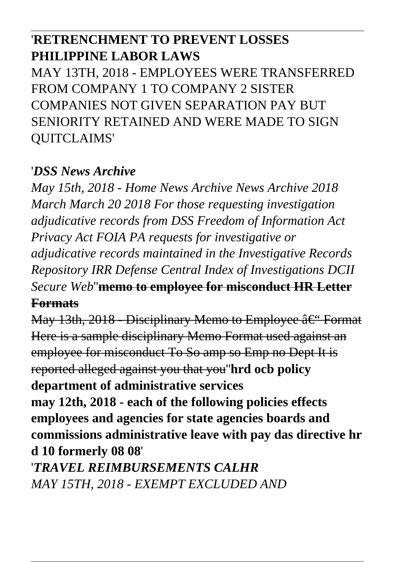## '**RETRENCHMENT TO PREVENT LOSSES PHILIPPINE LABOR LAWS**

MAY 13TH, 2018 - EMPLOYEES WERE TRANSFERRED FROM COMPANY 1 TO COMPANY 2 SISTER COMPANIES NOT GIVEN SEPARATION PAY BUT SENIORITY RETAINED AND WERE MADE TO SIGN QUITCLAIMS'

#### '*DSS News Archive*

*May 15th, 2018 - Home News Archive News Archive 2018 March March 20 2018 For those requesting investigation adjudicative records from DSS Freedom of Information Act Privacy Act FOIA PA requests for investigative or adjudicative records maintained in the Investigative Records Repository IRR Defense Central Index of Investigations DCII Secure Web*''**memo to employee for misconduct HR Letter**

#### **Formats**

May 13th, 2018 - Disciplinary Memo to Employee – Format Here is a sample disciplinary Memo Format used against an employee for misconduct To So amp so Emp no Dept It is reported alleged against you that you''**hrd ocb policy department of administrative services may 12th, 2018 - each of the following policies effects employees and agencies for state agencies boards and commissions administrative leave with pay das directive hr d 10 formerly 08 08**'

'*TRAVEL REIMBURSEMENTS CALHR MAY 15TH, 2018 - EXEMPT EXCLUDED AND*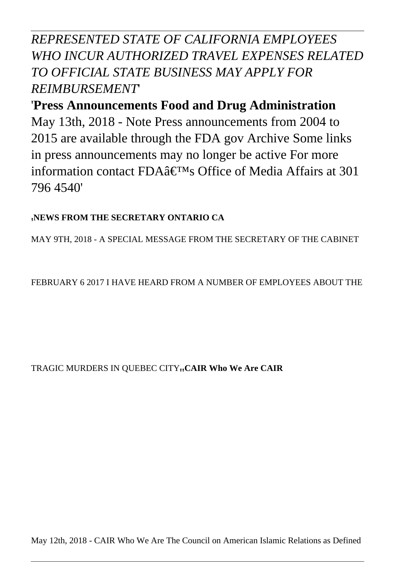#### *REPRESENTED STATE OF CALIFORNIA EMPLOYEES WHO INCUR AUTHORIZED TRAVEL EXPENSES RELATED TO OFFICIAL STATE BUSINESS MAY APPLY FOR REIMBURSEMENT*'

### '**Press Announcements Food and Drug Administration** May 13th, 2018 - Note Press announcements from 2004 to 2015 are available through the FDA gov Archive Some links in press announcements may no longer be active For more information contact FDA $\hat{a} \in T^{M}$ s Office of Media Affairs at 301 796 4540'

#### '**NEWS FROM THE SECRETARY ONTARIO CA**

MAY 9TH, 2018 - A SPECIAL MESSAGE FROM THE SECRETARY OF THE CABINET

FEBRUARY 6 2017 I HAVE HEARD FROM A NUMBER OF EMPLOYEES ABOUT THE

#### TRAGIC MURDERS IN QUEBEC CITY<sub>"</sub>CAIR Who We Are CAIR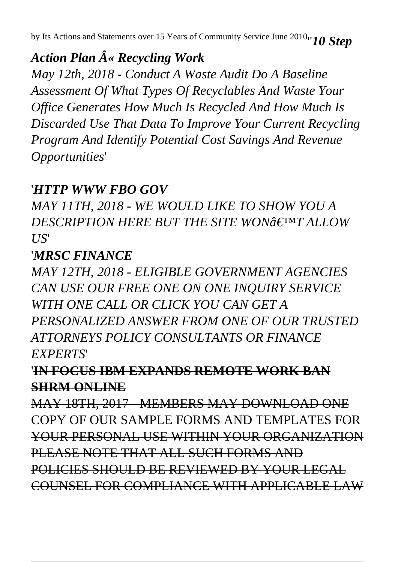by Its Actions and Statements over 15 Years of Community Service June 2010''*10 Step*

# *Action Plan « Recycling Work*

*May 12th, 2018 - Conduct A Waste Audit Do A Baseline Assessment Of What Types Of Recyclables And Waste Your Office Generates How Much Is Recycled And How Much Is Discarded Use That Data To Improve Your Current Recycling Program And Identify Potential Cost Savings And Revenue Opportunities*'

#### '*HTTP WWW FBO GOV*

*MAY 11TH, 2018 - WE WOULD LIKE TO SHOW YOU A DESCRIPTION HERE BUT THE SITE WONGETMT ALLOW US*'

#### '*MRSC FINANCE*

*MAY 12TH, 2018 - ELIGIBLE GOVERNMENT AGENCIES CAN USE OUR FREE ONE ON ONE INQUIRY SERVICE WITH ONE CALL OR CLICK YOU CAN GET A PERSONALIZED ANSWER FROM ONE OF OUR TRUSTED ATTORNEYS POLICY CONSULTANTS OR FINANCE EXPERTS*'

#### '**IN FOCUS IBM EXPANDS REMOTE WORK BAN SHRM ONLINE**

MAY 18TH, 2017 - MEMBERS MAY DOWNLOAD ONE COPY OF OUR SAMPLE FORMS AND TEMPLATES FOR YOUR PERSONAL USE WITHIN YOUR ORGANIZATION PLEASE NOTE THAT ALL SUCH FORMS AND POLICIES SHOULD BE REVIEWED BY YOUR LEGAL COUNSEL FOR COMPLIANCE WITH APPLICABLE LAW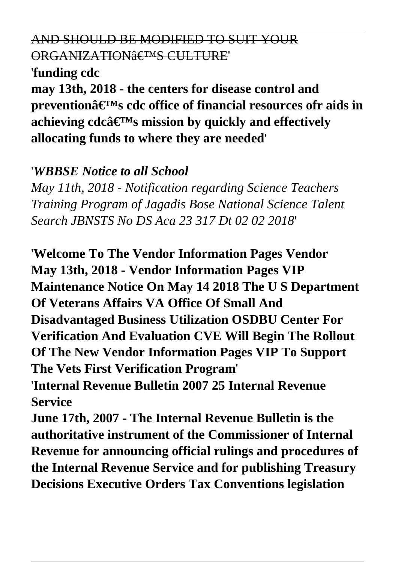#### AND SHOULD BE MODIFIED TO SUIT YOUR ORGANIZATION<sup>§</sup> E<sup>TM</sup>S CULTURE

#### '**funding cdc**

**may 13th, 2018 - the centers for disease control and preventionâ€<sup>™</sup>s cdc office of financial resources ofr aids in** achieving  $cdc\hat{a} \in T^M s$  mission by quickly and effectively **allocating funds to where they are needed**'

#### '*WBBSE Notice to all School*

*May 11th, 2018 - Notification regarding Science Teachers Training Program of Jagadis Bose National Science Talent Search JBNSTS No DS Aca 23 317 Dt 02 02 2018*'

'**Welcome To The Vendor Information Pages Vendor May 13th, 2018 - Vendor Information Pages VIP Maintenance Notice On May 14 2018 The U S Department Of Veterans Affairs VA Office Of Small And Disadvantaged Business Utilization OSDBU Center For Verification And Evaluation CVE Will Begin The Rollout Of The New Vendor Information Pages VIP To Support The Vets First Verification Program**' '**Internal Revenue Bulletin 2007 25 Internal Revenue Service**

**June 17th, 2007 - The Internal Revenue Bulletin is the authoritative instrument of the Commissioner of Internal Revenue for announcing official rulings and procedures of the Internal Revenue Service and for publishing Treasury Decisions Executive Orders Tax Conventions legislation**